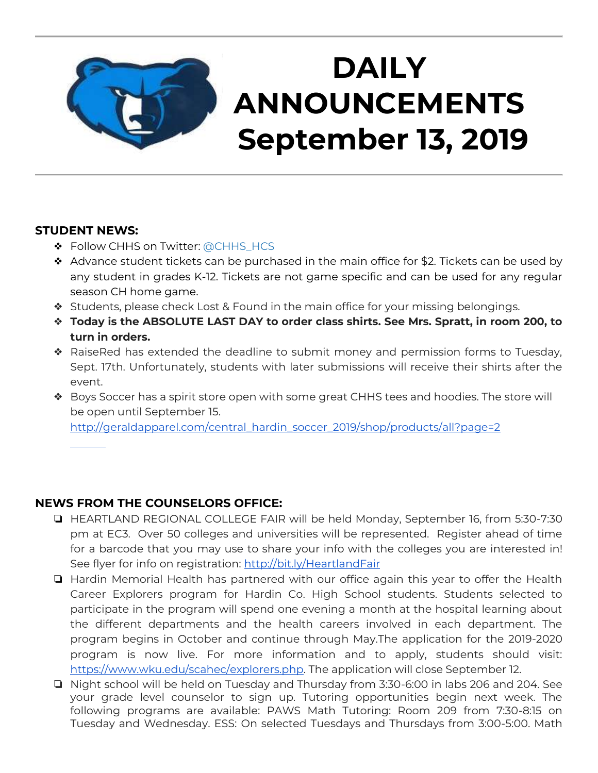

# **STUDENT NEWS:**

- ❖ Follow CHHS on Twitter: [@CHHS\\_HCS](https://twitter.com/CHHS_HCS)
- ❖ Advance student tickets can be purchased in the main office for \$2. Tickets can be used by any student in grades K-12. Tickets are not game specific and can be used for any regular season CH home game.
- ❖ Students, please check Lost & Found in the main office for your missing belongings.
- ❖ **Today is the ABSOLUTE LAST DAY to order class shirts. See Mrs. Spratt, in room 200, to turn in orders.**
- ❖ RaiseRed has extended the deadline to submit money and permission forms to Tuesday, Sept. 17th. Unfortunately, students with later submissions will receive their shirts after the event.
- ❖ Boys Soccer has a spirit store open with some great CHHS tees and hoodies. The store will be open until September 15.

[http://geraldapparel.com/central\\_hardin\\_soccer\\_2019/shop/products/all?page=2](http://geraldapparel.com/central_hardin_soccer_2019/shop/products/all?page=2) 

# **NEWS FROM THE COUNSELORS OFFICE:**

- ❏ HEARTLAND REGIONAL COLLEGE FAIR will be held Monday, September 16, from 5:30-7:30 pm at EC3. Over 50 colleges and universities will be represented. Register ahead of time for a barcode that you may use to share your info with the colleges you are interested in! See flyer for info on registration:<http://bit.ly/HeartlandFair>
- ❏ Hardin Memorial Health has partnered with our office again this year to offer the Health Career Explorers program for Hardin Co. High School students. Students selected to participate in the program will spend one evening a month at the hospital learning about the different departments and the health careers involved in each department. The program begins in October and continue through May.The application for the 2019-2020 program is now live. For more information and to apply, students should visit: [https://www.wku.edu/scahec/explorers.php.](https://www.wku.edu/scahec/explorers.php) The application will close September 12.
- ❏ Night school will be held on Tuesday and Thursday from 3:30-6:00 in labs 206 and 204. See your grade level counselor to sign up. Tutoring opportunities begin next week. The following programs are available: PAWS Math Tutoring: Room 209 from 7:30-8:15 on Tuesday and Wednesday. ESS: On selected Tuesdays and Thursdays from 3:00-5:00. Math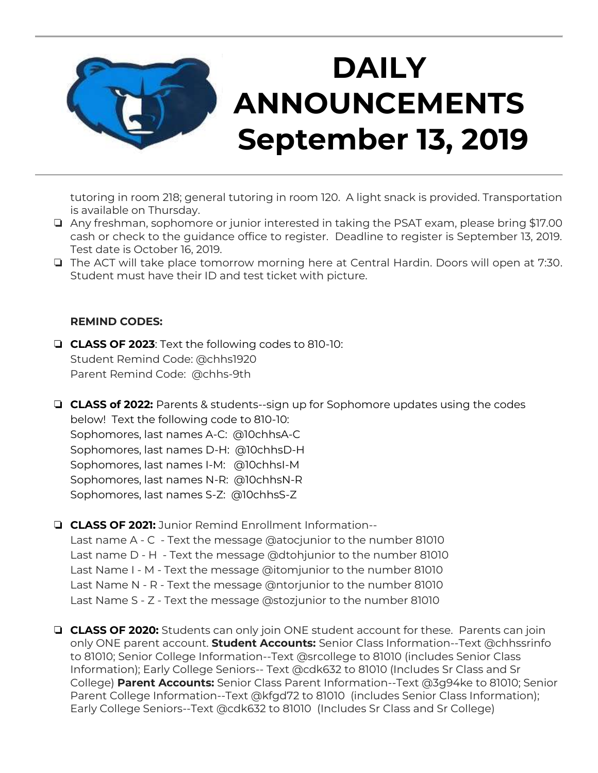

tutoring in room 218; general tutoring in room 120. A light snack is provided. Transportation is available on Thursday.

- ❏ Any freshman, sophomore or junior interested in taking the PSAT exam, please bring \$17.00 cash or check to the guidance office to register. Deadline to register is September 13, 2019. Test date is October 16, 2019.
- ❏ The ACT will take place tomorrow morning here at Central Hardin. Doors will open at 7:30. Student must have their ID and test ticket with picture.

#### **REMIND CODES:**

- ❏ **CLASS OF 2023**: Text the following codes to 810-10: Student Remind Code: @chhs1920 Parent Remind Code: @chhs-9th
- ❏ **CLASS of 2022:** Parents & students--sign up for Sophomore updates using the codes below! Text the following code to 810-10: Sophomores, last names A-C: @10chhsA-C Sophomores, last names D-H: @10chhsD-H Sophomores, last names I-M: @10chhsI-M Sophomores, last names N-R: @10chhsN-R Sophomores, last names S-Z: @10chhsS-Z
- ❏ **CLASS OF 2021:** Junior Remind Enrollment Information--

Last name A - C - Text the message @atocjunior to the number 81010 Last name D - H - Text the message @dtohjunior to the number 81010 Last Name I - M - Text the message @itomjunior to the number 81010 Last Name N - R - Text the message @ntorjunior to the number 81010 Last Name S - Z - Text the message @stozjunior to the number 81010

❏ **CLASS OF 2020:** Students can only join ONE student account for these. Parents can join only ONE parent account. **Student Accounts:** Senior Class Information--Text @chhssrinfo to 81010; Senior College Information--Text @srcollege to 81010 (includes Senior Class Information); Early College Seniors-- Text @cdk632 to 81010 (Includes Sr Class and Sr College) **Parent Accounts:** Senior Class Parent Information--Text @3g94ke to 81010; Senior Parent College Information--Text @kfgd72 to 81010 (includes Senior Class Information); Early College Seniors--Text @cdk632 to 81010 (Includes Sr Class and Sr College)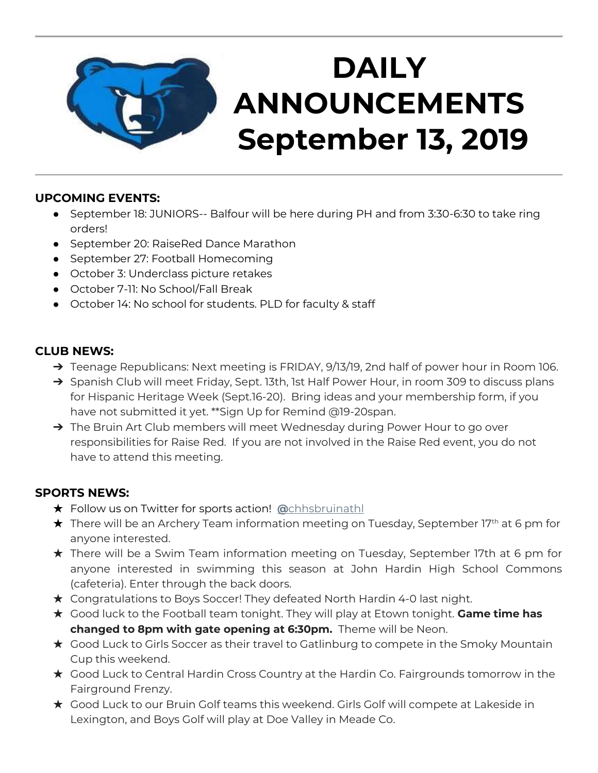

# **UPCOMING EVENTS:**

- September 18: JUNIORS-- Balfour will be here during PH and from 3:30-6:30 to take ring orders!
- September 20: RaiseRed Dance Marathon
- September 27: Football Homecoming
- October 3: Underclass picture retakes
- October 7-11: No School/Fall Break
- October 14: No school for students. PLD for faculty & staff

# **CLUB NEWS:**

- ➔ Teenage Republicans: Next meeting is FRIDAY, 9/13/19, 2nd half of power hour in Room 106.
- ➔ Spanish Club will meet Friday, Sept. 13th, 1st Half Power Hour, in room 309 to discuss plans for Hispanic Heritage Week (Sept.16-20). Bring ideas and your membership form, if you have not submitted it yet. \*\*Sign Up for Remind @19-20span.
- → The Bruin Art Club members will meet Wednesday during Power Hour to go over responsibilities for Raise Red. If you are not involved in the Raise Red event, you do not have to attend this meeting.

# **SPORTS NEWS:**

- ★ Follow us on Twitter for sports action! **[@](https://twitter.com/chhsbruinathl)**[chhsbruinathl](https://twitter.com/chhsbruinathl)
- $\bigstar$  There will be an Archery Team information meeting on Tuesday, September 17<sup>th</sup> at 6 pm for anyone interested.
- ★ There will be a Swim Team information meeting on Tuesday, September 17th at 6 pm for anyone interested in swimming this season at John Hardin High School Commons (cafeteria). Enter through the back doors.
- ★ Congratulations to Boys Soccer! They defeated North Hardin 4-0 last night.
- ★ Good luck to the Football team tonight. They will play at Etown tonight. **Game time has changed to 8pm with gate opening at 6:30pm.** Theme will be Neon.
- ★ Good Luck to Girls Soccer as their travel to Gatlinburg to compete in the Smoky Mountain Cup this weekend.
- ★ Good Luck to Central Hardin Cross Country at the Hardin Co. Fairgrounds tomorrow in the Fairground Frenzy.
- ★ Good Luck to our Bruin Golf teams this weekend. Girls Golf will compete at Lakeside in Lexington, and Boys Golf will play at Doe Valley in Meade Co.